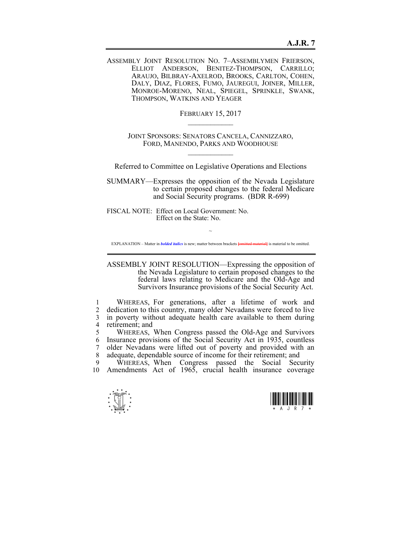ASSEMBLY JOINT RESOLUTION NO. 7–ASSEMBLYMEN FRIERSON, ELLIOT ANDERSON, BENITEZ-THOMPSON, CARRILLO; ARAUJO, BILBRAY-AXELROD, BROOKS, CARLTON, COHEN, DALY, DIAZ, FLORES, FUMO, JAUREGUI, JOINER, MILLER, MONROE-MORENO, NEAL, SPIEGEL, SPRINKLE, SWANK, THOMPSON, WATKINS AND YEAGER

> FEBRUARY 15, 2017  $\mathcal{L}_\text{max}$

JOINT SPONSORS: SENATORS CANCELA, CANNIZZARO, FORD, MANENDO, PARKS AND WOODHOUSE  $\mathcal{L}_\text{max}$ 

Referred to Committee on Legislative Operations and Elections

SUMMARY—Expresses the opposition of the Nevada Legislature to certain proposed changes to the federal Medicare and Social Security programs. (BDR R-699)

FISCAL NOTE: Effect on Local Government: No. Effect on the State: No.

 $\sim$ EXPLANATION – Matter in *bolded italics* is new; matter between brackets **[**omitted material**]** is material to be omitted.

ASSEMBLY JOINT RESOLUTION—Expressing the opposition of the Nevada Legislature to certain proposed changes to the federal laws relating to Medicare and the Old-Age and Survivors Insurance provisions of the Social Security Act.

1 WHEREAS, For generations, after a lifetime of work and 2 dedication to this country, many older Nevadans were forced to live 3 in poverty without adequate health care available to them during 4 retirement; and

5 WHEREAS, When Congress passed the Old-Age and Survivors 6 Insurance provisions of the Social Security Act in 1935, countless 7 older Nevadans were lifted out of poverty and provided with an 8 adequate, dependable source of income for their retirement; and

9 WHEREAS, When Congress passed the Social Security 10 Amendments Act of 1965, crucial health insurance coverage



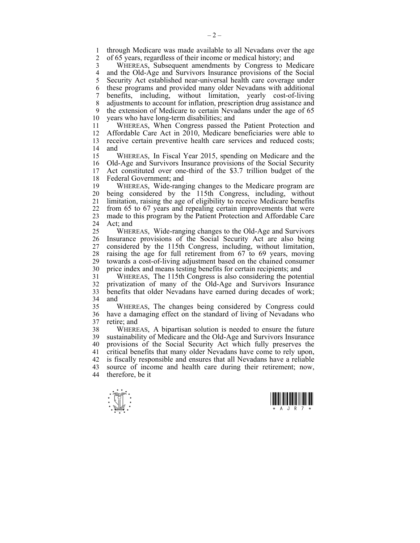1 through Medicare was made available to all Nevadans over the age<br>2 of 65 years regardless of their income or medical history: and 2 of 65 years, regardless of their income or medical history; and

3 WHEREAS, Subsequent amendments by Congress to Medicare 4 and the Old-Age and Survivors Insurance provisions of the Social 5 Security Act established near-universal health care coverage under 6 these programs and provided many older Nevadans with additional 7 benefits, including, without limitation, yearly cost-of-living 8 adjustments to account for inflation, prescription drug assistance and 9 the extension of Medicare to certain Nevadans under the age of 65<br>10 years who have long-term disabilities: and years who have long-term disabilities; and

11 WHEREAS, When Congress passed the Patient Protection and 12 Affordable Care Act in 2010, Medicare beneficiaries were able to 13 receive certain preventive health care services and reduced costs; 14 and

15 WHEREAS, In Fiscal Year 2015, spending on Medicare and the 16 Old-Age and Survivors Insurance provisions of the Social Security<br>17 Act constituted over one-third of the \$3.7 trillion budget of the Act constituted over one-third of the \$3.7 trillion budget of the 18 Federal Government; and

19 WHEREAS, Wide-ranging changes to the Medicare program are 20 being considered by the 115th Congress, including, without 21 limitation, raising the age of eligibility to receive Medicare benefits 22 from 65 to 67 years and repealing certain improvements that were 23 made to this program by the Patient Protection and Affordable Care 24 Act; and

25 WHEREAS, Wide-ranging changes to the Old-Age and Survivors 26 Insurance provisions of the Social Security Act are also being 27 considered by the 115th Congress, including, without limitation, 28 raising the age for full retirement from 67 to 69 years, moving 29 towards a cost-of-living adjustment based on the chained consumer 30 price index and means testing benefits for certain recipients; and

31 WHEREAS, The 115th Congress is also considering the potential 32 privatization of many of the Old-Age and Survivors Insurance 33 benefits that older Nevadans have earned during decades of work; 34 and

35 WHEREAS, The changes being considered by Congress could 36 have a damaging effect on the standard of living of Nevadans who 37 retire; and

38 WHEREAS, A bipartisan solution is needed to ensure the future 39 sustainability of Medicare and the Old-Age and Survivors Insurance 40 provisions of the Social Security Act which fully preserves the 41 critical benefits that many older Nevadans have come to rely upon, 42 is fiscally responsible and ensures that all Nevadans have a reliable 43 source of income and health care during their retirement; now, 44 therefore, be it